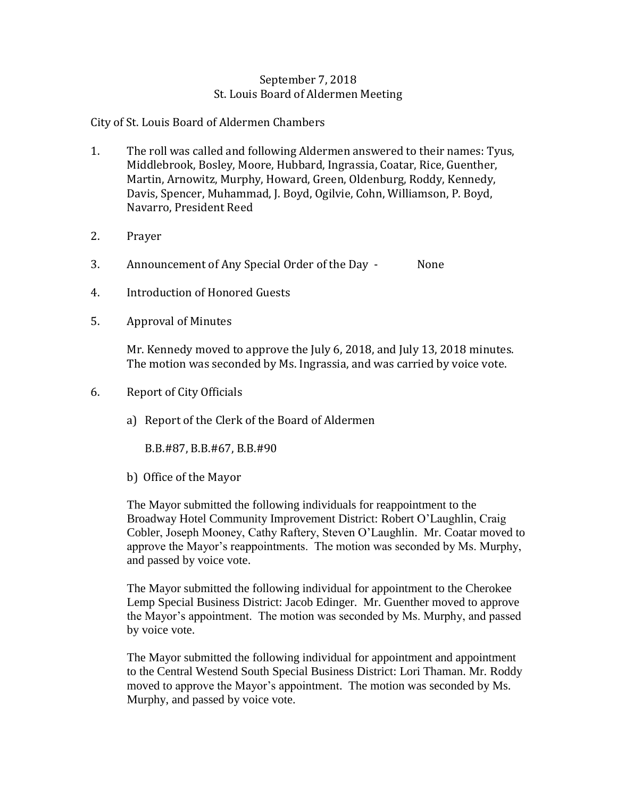## September 7, 2018 St. Louis Board of Aldermen Meeting

City of St. Louis Board of Aldermen Chambers

- 1. The roll was called and following Aldermen answered to their names: Tyus, Middlebrook, Bosley, Moore, Hubbard, Ingrassia, Coatar, Rice, Guenther, Martin, Arnowitz, Murphy, Howard, Green, Oldenburg, Roddy, Kennedy, Davis, Spencer, Muhammad, J. Boyd, Ogilvie, Cohn, Williamson, P. Boyd, Navarro, President Reed
- 2. Prayer
- 3. Announcement of Any Special Order of the Day None
- 4. Introduction of Honored Guests
- 5. Approval of Minutes

Mr. Kennedy moved to approve the July 6, 2018, and July 13, 2018 minutes. The motion was seconded by Ms. Ingrassia, and was carried by voice vote.

- 6. Report of City Officials
	- a) Report of the Clerk of the Board of Aldermen

B.B.#87, B.B.#67, B.B.#90

b) Office of the Mayor

The Mayor submitted the following individuals for reappointment to the Broadway Hotel Community Improvement District: Robert O'Laughlin, Craig Cobler, Joseph Mooney, Cathy Raftery, Steven O'Laughlin. Mr. Coatar moved to approve the Mayor's reappointments. The motion was seconded by Ms. Murphy, and passed by voice vote.

The Mayor submitted the following individual for appointment to the Cherokee Lemp Special Business District: Jacob Edinger. Mr. Guenther moved to approve the Mayor's appointment. The motion was seconded by Ms. Murphy, and passed by voice vote.

The Mayor submitted the following individual for appointment and appointment to the Central Westend South Special Business District: Lori Thaman. Mr. Roddy moved to approve the Mayor's appointment. The motion was seconded by Ms. Murphy, and passed by voice vote.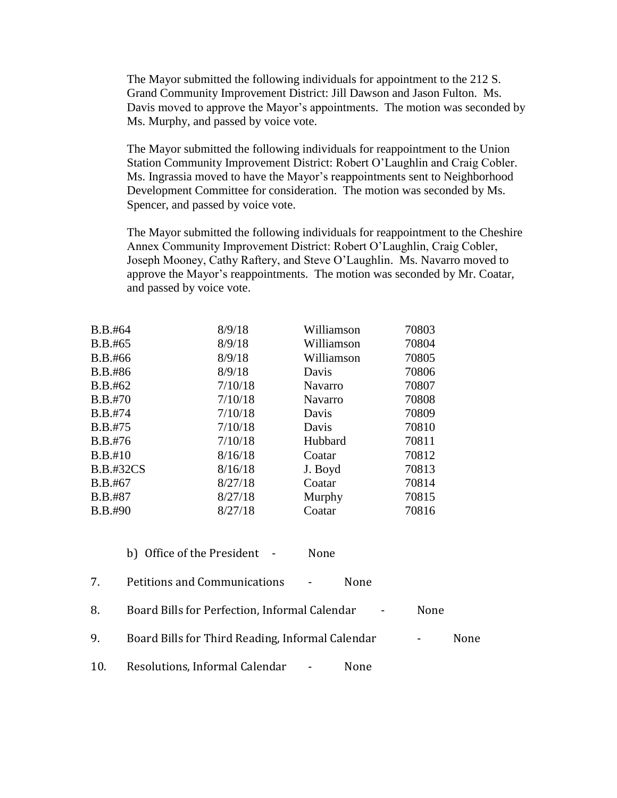The Mayor submitted the following individuals for appointment to the 212 S. Grand Community Improvement District: Jill Dawson and Jason Fulton. Ms. Davis moved to approve the Mayor's appointments. The motion was seconded by Ms. Murphy, and passed by voice vote.

The Mayor submitted the following individuals for reappointment to the Union Station Community Improvement District: Robert O'Laughlin and Craig Cobler. Ms. Ingrassia moved to have the Mayor's reappointments sent to Neighborhood Development Committee for consideration. The motion was seconded by Ms. Spencer, and passed by voice vote.

The Mayor submitted the following individuals for reappointment to the Cheshire Annex Community Improvement District: Robert O'Laughlin, Craig Cobler, Joseph Mooney, Cathy Raftery, and Steve O'Laughlin. Ms. Navarro moved to approve the Mayor's reappointments. The motion was seconded by Mr. Coatar, and passed by voice vote.

| 8/9/18<br>70804<br>Williamson<br>B.B.#65<br>8/9/18<br>70805<br>B.B.#66<br>Williamson<br>8/9/18<br>70806<br>B.B.#86<br>Davis<br>7/10/18<br>70807<br>B.B.#62<br><b>Navarro</b><br>7/10/18<br>70808<br><b>B.B.#70</b><br><b>Navarro</b><br>7/10/18<br>70809<br><b>B.B.#74</b><br>Davis<br>7/10/18<br>70810<br><b>B.B.#75</b><br>Davis<br>7/10/18<br>70811<br>B.B.#76<br>Hubbard<br>B.B.#10<br>8/16/18<br>70812<br>Coatar<br><b>B.B.#32CS</b><br>70813<br>8/16/18<br>J. Boyd<br>70814<br>8/27/18<br>B.B.#67<br>Coatar<br>8/27/18<br>B.B.#87<br>70815<br>Murphy<br>8/27/18<br>Coatar<br>70816<br>$B.B.$ #90 | B.B.#64 | 8/9/18 | Williamson | 70803 |
|--------------------------------------------------------------------------------------------------------------------------------------------------------------------------------------------------------------------------------------------------------------------------------------------------------------------------------------------------------------------------------------------------------------------------------------------------------------------------------------------------------------------------------------------------------------------------------------------------------|---------|--------|------------|-------|
|                                                                                                                                                                                                                                                                                                                                                                                                                                                                                                                                                                                                        |         |        |            |       |
|                                                                                                                                                                                                                                                                                                                                                                                                                                                                                                                                                                                                        |         |        |            |       |
|                                                                                                                                                                                                                                                                                                                                                                                                                                                                                                                                                                                                        |         |        |            |       |
|                                                                                                                                                                                                                                                                                                                                                                                                                                                                                                                                                                                                        |         |        |            |       |
|                                                                                                                                                                                                                                                                                                                                                                                                                                                                                                                                                                                                        |         |        |            |       |
|                                                                                                                                                                                                                                                                                                                                                                                                                                                                                                                                                                                                        |         |        |            |       |
|                                                                                                                                                                                                                                                                                                                                                                                                                                                                                                                                                                                                        |         |        |            |       |
|                                                                                                                                                                                                                                                                                                                                                                                                                                                                                                                                                                                                        |         |        |            |       |
|                                                                                                                                                                                                                                                                                                                                                                                                                                                                                                                                                                                                        |         |        |            |       |
|                                                                                                                                                                                                                                                                                                                                                                                                                                                                                                                                                                                                        |         |        |            |       |
|                                                                                                                                                                                                                                                                                                                                                                                                                                                                                                                                                                                                        |         |        |            |       |
|                                                                                                                                                                                                                                                                                                                                                                                                                                                                                                                                                                                                        |         |        |            |       |
|                                                                                                                                                                                                                                                                                                                                                                                                                                                                                                                                                                                                        |         |        |            |       |

| b) Office of the President | None |
|----------------------------|------|
|----------------------------|------|

7. Petitions and Communications - None

- 8. Board Bills for Perfection, Informal Calendar None
- 9. Board Bills for Third Reading, Informal Calendar Flore Rone
- 10. Resolutions, Informal Calendar None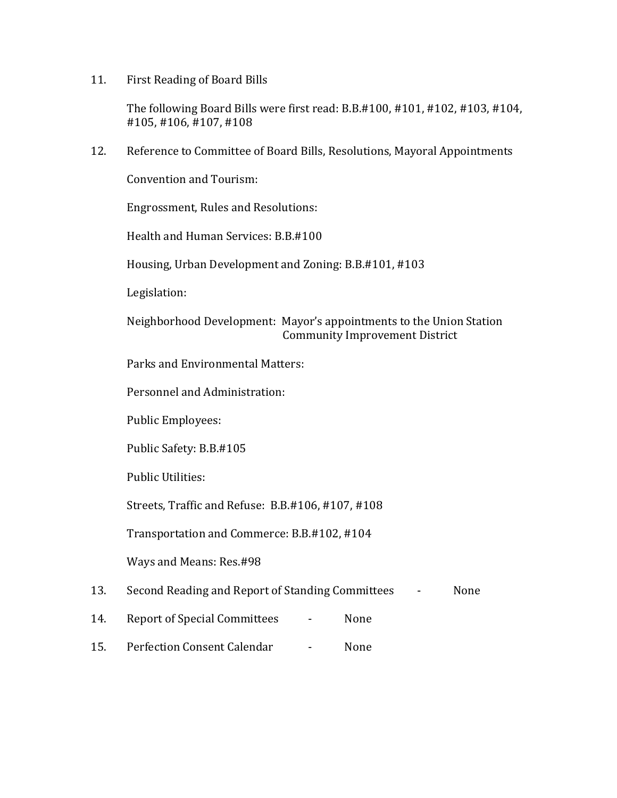11. First Reading of Board Bills

The following Board Bills were first read: B.B.#100, #101, #102, #103, #104, #105, #106, #107, #108

12. Reference to Committee of Board Bills, Resolutions, Mayoral Appointments

Convention and Tourism:

Engrossment, Rules and Resolutions:

Health and Human Services: B.B.#100

Housing, Urban Development and Zoning: B.B.#101, #103

Legislation:

Neighborhood Development: Mayor's appointments to the Union Station Community Improvement District

Parks and Environmental Matters:

Personnel and Administration:

Public Employees:

Public Safety: B.B.#105

Public Utilities:

Streets, Traffic and Refuse: B.B.#106, #107, #108

Transportation and Commerce: B.B.#102, #104

Ways and Means: Res.#98

13. Second Reading and Report of Standing Committees - None

- 14. Report of Special Committees None
- 15. Perfection Consent Calendar None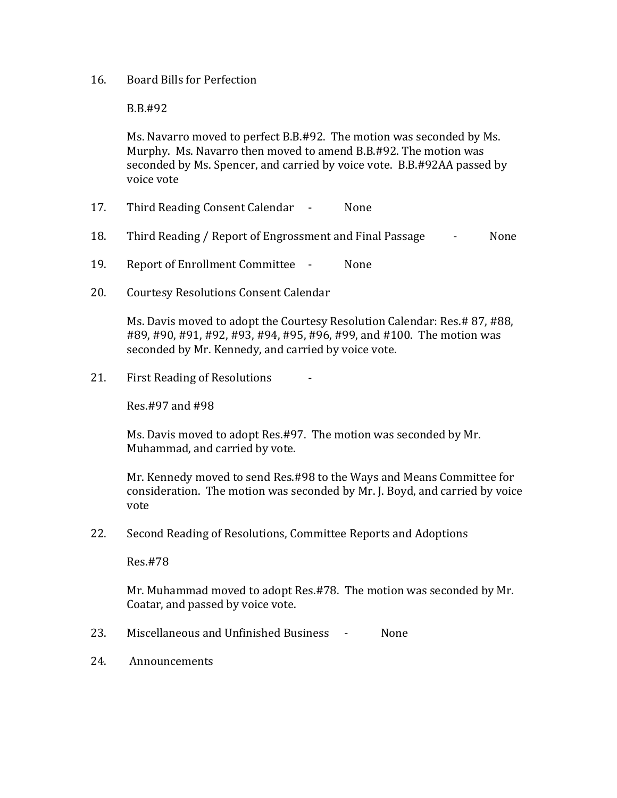## 16. Board Bills for Perfection

B.B.#92

Ms. Navarro moved to perfect B.B.#92. The motion was seconded by Ms. Murphy. Ms. Navarro then moved to amend B.B.#92. The motion was seconded by Ms. Spencer, and carried by voice vote. B.B.#92AA passed by voice vote

- 17. Third Reading Consent Calendar None
- 18. Third Reading / Report of Engrossment and Final Passage None
- 19. Report of Enrollment Committee None
- 20. Courtesy Resolutions Consent Calendar

Ms. Davis moved to adopt the Courtesy Resolution Calendar: Res.# 87, #88, #89, #90, #91, #92, #93, #94, #95, #96, #99, and #100. The motion was seconded by Mr. Kennedy, and carried by voice vote.

21. First Reading of Resolutions

Res.#97 and #98

Ms. Davis moved to adopt Res.#97. The motion was seconded by Mr. Muhammad, and carried by vote.

Mr. Kennedy moved to send Res.#98 to the Ways and Means Committee for consideration. The motion was seconded by Mr. J. Boyd, and carried by voice vote

22. Second Reading of Resolutions, Committee Reports and Adoptions

Res.#78

Mr. Muhammad moved to adopt Res.#78. The motion was seconded by Mr. Coatar, and passed by voice vote.

- 23. Miscellaneous and Unfinished Business None
- 24. Announcements